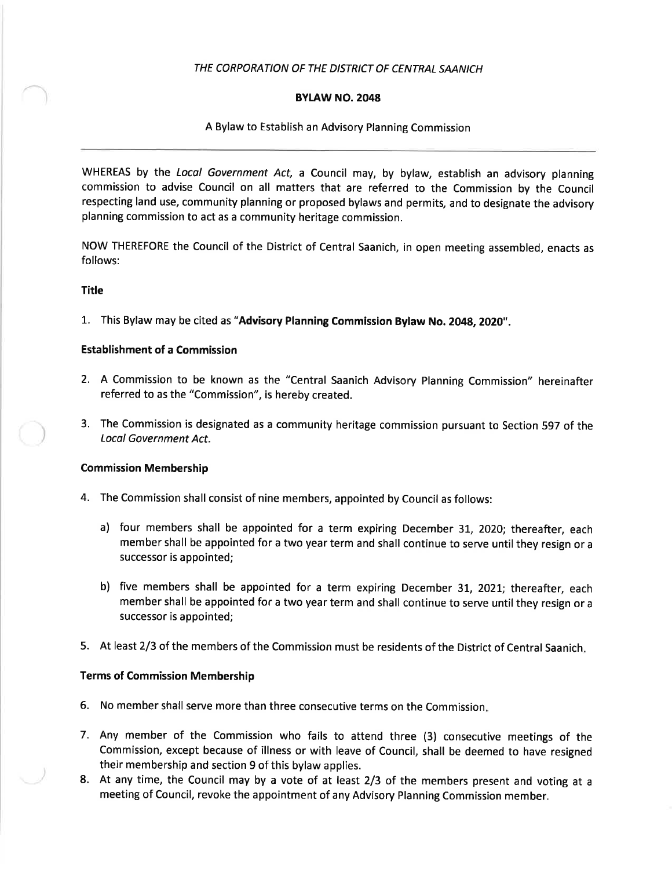# THE CORPORATION OF THE DISTRICT OF CENTRAL SAANICH

# BYLAW NO.2048

## A Bylaw to Establish an Advisory Planning Commission

WHEREAS by the Local Government Act, a Council may, by bylaw, establish an advisory planning commission to advise Council on all matters that are referred to the Commission by the Council respecting land use, community planning or proposed bylaws and permits, and to designate the advisory planning commission to act as a community heritage commission.

NOW THEREFORE the Council of the District of Central Saanich, in open meeting assembled, enacts as follows:

### **Title**

L. This Bylaw may be cited as "Advisory Planning Commission Bylaw No. 2048, 2O2O".

### Establishment of a Commission

- 2. A Commission to be known as the "Central Saanich Advisory Planning Commission" hereinafter referred to as the "Commission", is hereby created.
- 3. The Commission is designated as a community heritage commission pursuant to Section 597 of the Local Government Act.

### Commission Membership

- 4. The Commission shall consist of nine members, appointed by Council as follows:
	- a) four members shall be appointed for a term expiring December 31, 2020; thereafter, each member shall be appointed for a two year term and shall continue to serve until they resign or <sup>a</sup> successor is appointed;
	- b) five members shall be appointed for a term expiring December 31, 2021; thereafter, each member shall be appointed for a two year term and shall continue to serve until they resign or <sup>a</sup> successor is appointed;
- 5. At least 2/3 of the members of the Commission must be residents of the District of Central Saanich

# Terms of Commission Membership

- 6. No member shall serve more than three consecutive terms on the Commission
- 7. Any member of the Commission who fails to attend three (3) consecutive meetings of the Commission, except because of illness or with leave of Council, shall be deemed to have resigned their membership and section 9 of this bylaw applies.
- 8. At any time, the Council may by a vote of at least 2/3 of the members present and voting at <sup>a</sup> meeting of Council, revoke the appointment of any Advisory Planning Commission member.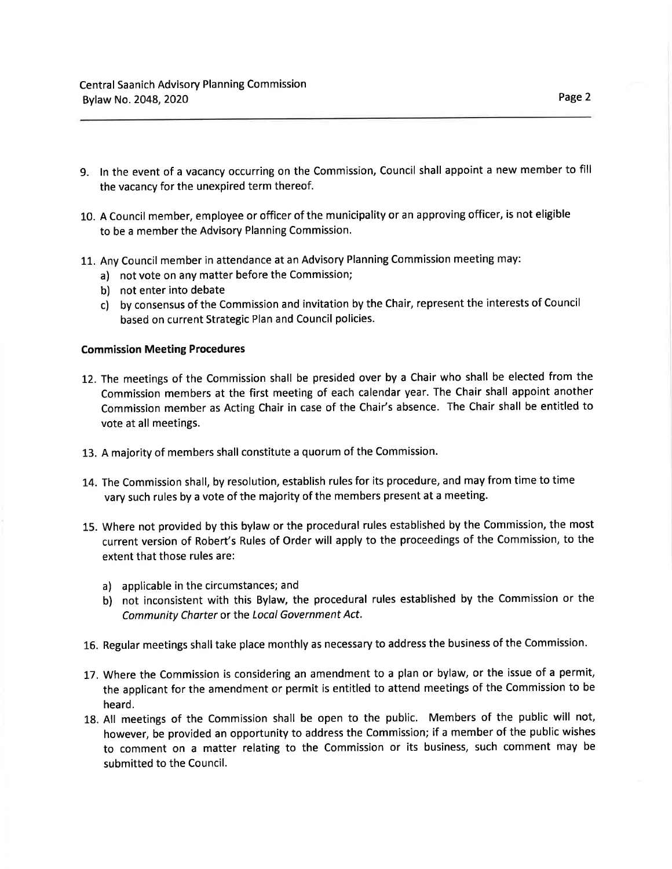- g. ln the event of a vacancy occurring on the Commission, Council shall appoint a new member to fill the vacancy for the unexpired term thereof.
- 10. A Council member, employee or officer of the municipality or an approving officer, is not eligible to be a member the Advisory Planning Commission.
- 11. Any Council member in attendance at an Advisory Planning Commission meeting may:
	- a) not vote on any matter before the Commission;
	- b) not enter into debate
	- c) by consensus of the Commission and invitation by the Chair, represent the interests of Council based on current Strategic Plan and Council policies.

### Commission Meeting Procedures

- 12. The meetings of the Commission shall be presided over by a Chair who shall be elected from the Commission members at the first meeting of each calendar year. The Chair shall appoint another Commission member as Acting Chair in case of the Chair's absence. The Chair shall be entitled to vote at all meetings.
- 13. A majority of members shall constitute a quorum of the Commission.
- 14. The Commission shall, by resolution, establish rules for its procedure, and may from time to time vary such rules by a vote of the majority of the members present at a meeting.
- 15. Where not provided by this bylaw or the procedural rules established by the Commission, the most current version of Robert's Rules of Order will apply to the proceedings of the Commission, to the extent that those rules are:
	- a) applicable in the circumstances; and
	- b) not inconsistent with this Bylaw, the procedural rules established by the Commission or the Community Chorter or the Locol Government Act.
- 16. Regular meetings shall take place monthly as necessary to address the business of the Commission.
- 17. Where the Commission is considering an amendment to a plan or bylaw, or the issue of a permit, the applicant for the amendment or permit is entitled to attend meetings of the Commission to be heard.
- 18. All meetings of the Commission shall be open to the public. Members of the public will not, however, be provided an opportunity to address the Commission; if a member of the public wishes to comment on a matter relating to the Commission or its business, such comment may be submitted to the Council.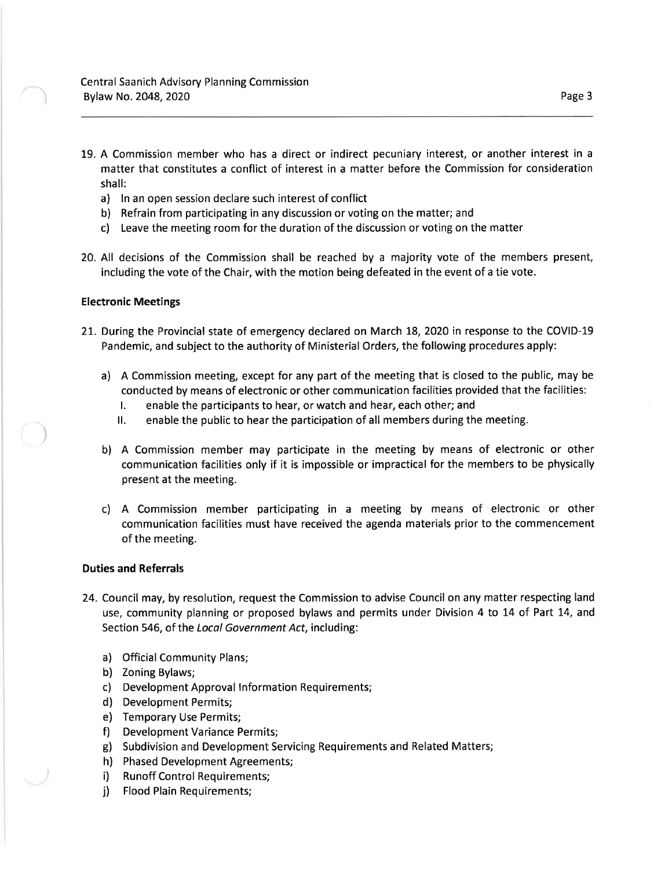- 19. A Commission member who has a direct or indirect pecuniary interest, or another interest in <sup>a</sup> matter that constitutes a conflict of interest in a matter before the Commission for consideration shall:
	- a) ln an open session declare such interest of conflict
	- b) Refrain from participating in any discussion or voting on the matter; and
	- c) Leave the meeting room for the duration of the discussion or voting on the matter
- 20. All decisions of the Commission shall be reached by a majority vote of the members present, including the vote of the Chair, with the motion being defeated in the event of a tie vote.

#### Electronic Meetings

- 21. During the Provincial state of emergency declared on March 18, 2020 in response to the COVID-19 Pandemic, and subject to the authority of Ministerial Orders, the following procedures apply:
	- a) <sup>A</sup>Commission meeting, except for any part of the meeting that is closed to the public, may be conducted by means of electronic or other communication facilities provided that the facilities:
		- L enable the participants to hear, or watch and hear, each other; and
		- ll. enable the public to hear the participation of all members during the meeting.
	- b) A Commission member may participate in the meeting by means of electronic or other communication facilities only if it is impossible or impractical for the members to be physically present at the meeting.
	- c) A Commission member participating in a meeting by means of electronic or other communication facilities must have received the agenda materials prior to the commencement of the meeting.

#### Duties and Referrals

- 24. Council may, by resolution, request the Commission to advise Council on any matter respecting land use, community planning or proposed bylaws and permits under Division 4 to L4 of Part 14, and Section 546, of the Local Government Act, including:
	- a) Official Community Plans;
	- b) Zoning Bylaws;
	- c) Development Approval lnformation Requirements;
	- d) Development Permits;
	- e) Temporary Use Permits;
	- f) Development Variance Permits;
	- g) Subdivision and Development Servicing Requirements and Related Matters;
	- h) Phased Development Agreements;
	- i) Runoff Control Requirements;
	- i) Flood Plain Requirements;